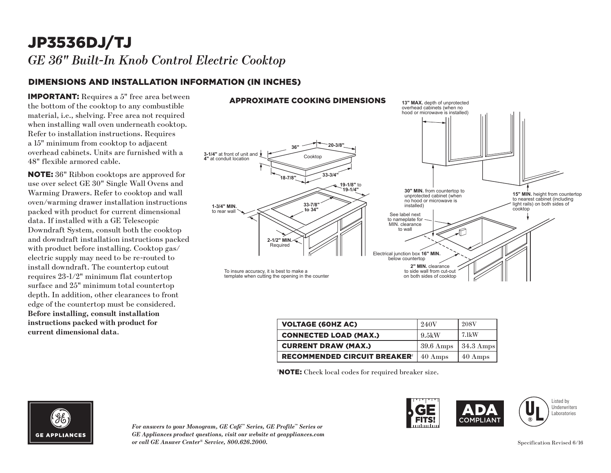# JP3536DJ/TJ *GE 36" Built-In Knob Control Electric Cooktop*

### DIMENSIONS AND INSTALLATION INFORMATION (IN INCHES)

IMPORTANT: Requires a 5" free area between the bottom of the cooktop to any combustible material, i.e., shelving. Free area not required when installing wall oven underneath cooktop. Refer to installation instructions. Requires a 15" minimum from cooktop to adjacent overhead cabinets. Units are furnished with a 48" flexible armored cable.

NOTE: 36" Ribbon cooktops are approved for use over select GE 30" Single Wall Ovens and Warming Drawers. Refer to cooktop and wall oven/warming drawer installation instructions packed with product for current dimensional data. If installed with a GE Telescopic Downdraft System, consult both the cooktop and downdraft installation instructions packed with product before installing. Cooktop gas/ electric supply may need to be re-routed to install downdraft. The countertop cutout requires 23-1/2" minimum flat countertop surface and 25" minimum total countertop depth. In addition, other clearances to front edge of the countertop must be considered. **Before installing, consult installation instructions packed with product for current dimensional data**.

### APPROXIMATE COOKING DIMENSIONS



| <b>VOLTAGE (60HZ AC)</b>                       | 240V                | 208V                |
|------------------------------------------------|---------------------|---------------------|
| <b>CONNECTED LOAD (MAX.)</b>                   | 9.5kW               | $7.1 \mathrm{kW}$   |
| <b>CURRENT DRAW (MAX.)</b>                     | $39.6 \text{ Amps}$ | $34.3 \text{ Amps}$ |
| <b>RECOMMENDED CIRCUIT BREAKER<sup>®</sup></b> | $40 \text{ Amps}$   | 40 Amps             |

† NOTE: Check local codes for required breaker size.



*For answers to your Monogram, GE Café™ Series, GE Profile™ Series or GE Appliances product questions, visit our website at geappliances.com or call GE Answer Center® Service, 800.626.2000.* Specification Revised 6/16